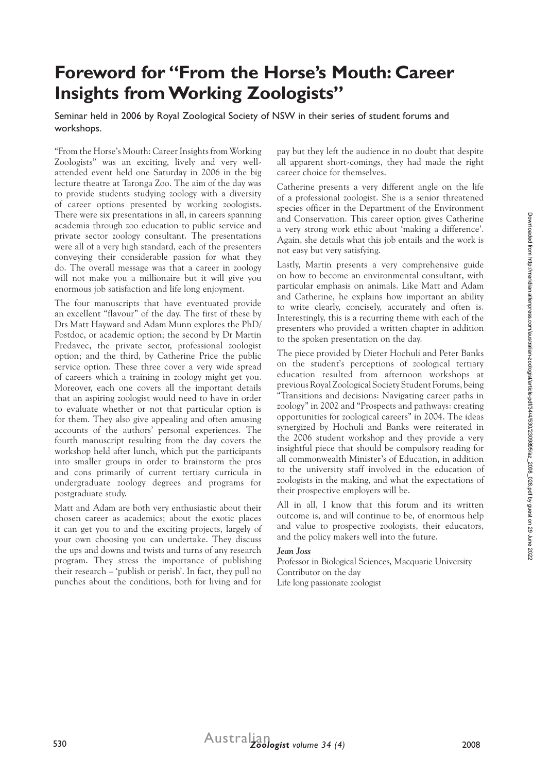# **Foreword for "From the Horse's Mouth: Career Insights from Working Zoologists"**

Seminar held in 2006 by Royal Zoological Society of NSW in their series of student forums and workshops.

"From the Horse's Mouth: Career Insights from Working Zoologists" was an exciting, lively and very wellattended event held one Saturday in 2006 in the big lecture theatre at Taronga Zoo. The aim of the day was to provide students studying zoology with a diversity of career options presented by working zoologists. There were six presentations in all, in careers spanning academia through zoo education to public service and private sector zoology consultant. The presentations were all of a very high standard, each of the presenters conveying their considerable passion for what they do. The overall message was that a career in zoology will not make you a millionaire but it will give you enormous job satisfaction and life long enjoyment.

The four manuscripts that have eventuated provide an excellent "flavour" of the day. The first of these by Drs Matt Hayward and Adam Munn explores the PhD/ Postdoc, or academic option; the second by Dr Martin Predavec, the private sector, professional zoologist option; and the third, by Catherine Price the public service option. These three cover a very wide spread of careers which a training in zoology might get you. Moreover, each one covers all the important details that an aspiring zoologist would need to have in order to evaluate whether or not that particular option is for them. They also give appealing and often amusing accounts of the authors' personal experiences. The fourth manuscript resulting from the day covers the workshop held after lunch, which put the participants into smaller groups in order to brainstorm the pros and cons primarily of current tertiary curricula in undergraduate zoology degrees and programs for postgraduate study.

Matt and Adam are both very enthusiastic about their chosen career as academics; about the exotic places it can get you to and the exciting projects, largely of your own choosing you can undertake. They discuss the ups and downs and twists and turns of any research program. They stress the importance of publishing their research – 'publish or perish'. In fact, they pull no punches about the conditions, both for living and for

pay but they left the audience in no doubt that despite all apparent short-comings, they had made the right career choice for themselves.

Catherine presents a very different angle on the life of a professional zoologist. She is a senior threatened species officer in the Department of the Environment and Conservation. This career option gives Catherine a very strong work ethic about 'making a difference'. Again, she details what this job entails and the work is not easy but very satisfying.

Lastly, Martin presents a very comprehensive guide on how to become an environmental consultant, with particular emphasis on animals. Like Matt and Adam and Catherine, he explains how important an ability to write clearly, concisely, accurately and often is. Interestingly, this is a recurring theme with each of the presenters who provided a written chapter in addition to the spoken presentation on the day.

The piece provided by Dieter Hochuli and Peter Banks on the student's perceptions of zoological tertiary education resulted from afternoon workshops at previous Royal Zoological Society Student Forums, being "Transitions and decisions: Navigating career paths in zoology" in 2002 and "Prospects and pathways: creating opportunities for zoological careers" in 2004. The ideas synergized by Hochuli and Banks were reiterated in the 2006 student workshop and they provide a very insightful piece that should be compulsory reading for all commonwealth Minister's of Education, in addition to the university staff involved in the education of zoologists in the making, and what the expectations of their prospective employers will be.

All in all, I know that this forum and its written outcome is, and will continue to be, of enormous help and value to prospective zoologists, their educators, and the policy makers well into the future.

#### *Jean Joss*

Professor in Biological Sciences, Macquarie University Contributor on the day Life long passionate zoologist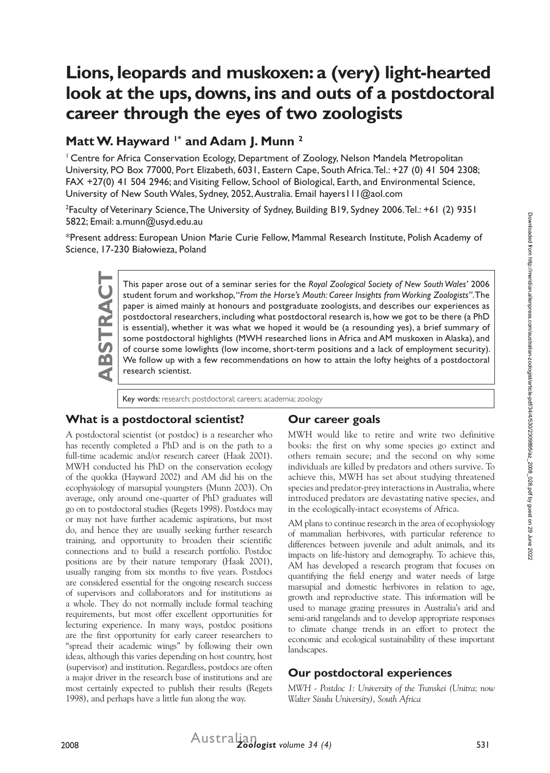# **Lions, leopards and muskoxen: a (very) light-hearted look at the ups, downs, ins and outs of a postdoctoral career through the eyes of two zoologists**

# Matt W. Hayward <sup>1\*</sup> and Adam I. Munn<sup>2</sup>

<sup>1</sup> Centre for Africa Conservation Ecology, Department of Zoology, Nelson Mandela Metropolitan University, PO Box 77000, Port Elizabeth, 6031, Eastern Cape, South Africa. Tel.: +27 (0) 41 504 2308; FAX +27(0) 41 504 2946; and Visiting Fellow, School of Biological, Earth, and Environmental Science, University of New South Wales, Sydney, 2052, Australia. Email hayers I I I @aol.com

2 Faculty of Veterinary Science, The University of Sydney, Building B19, Sydney 2006. Tel.: +61 (2) 9351 5822; Email: a.munn@usyd.edu.au

\*Present address: European Union Marie Curie Fellow, Mammal Research Institute, Polish Academy of Science, 17-230 Białowieza, Poland

This paper arose out of a seminar series for the *Royal Zoological Society of New South Wales'* 2006 student forum and workshop, "*From the Horse's Mouth: Career Insights from Working Zoologists*". The paper is aimed mainl student forum and workshop, "*From the Horse's Mouth: Career Insights from Working Zoologists"*. The paper is aimed mainly at honours and postgraduate zoologists, and describes our experiences as postdoctoral researchers, including what postdoctoral research is, how we got to be there (a PhD is essential), whether it was what we hoped it would be (a resounding yes), a brief summary of some postdoctoral highlights (MWH researched lions in Africa and AM muskoxen in Alaska), and of course some lowlights (low income, short-term positions and a lack of employment security). We follow up with a few recommendations on how to attain the lofty heights of a postdoctoral research scientist.

Key words: research; postdoctoral; careers; academia; zoology

#### **What is a postdoctoral scientist?**

#### **Our career goals**

A postdoctoral scientist (or postdoc) is a researcher who has recently completed a PhD and is on the path to a full-time academic and/or research career (Haak 2001). MWH conducted his PhD on the conservation ecology of the quokka (Hayward 2002) and AM did his on the ecophysiology of marsupial youngsters (Munn 2003). On average, only around one-quarter of PhD graduates will go on to postdoctoral studies (Regets 1998). Postdocs may or may not have further academic aspirations, but most do, and hence they are usually seeking further research training, and opportunity to broaden their scientific connections and to build a research portfolio. Postdoc positions are by their nature temporary (Haak 2001), usually ranging from six months to five years. Postdocs are considered essential for the ongoing research success of supervisors and collaborators and for institutions as a whole. They do not normally include formal teaching requirements, but most offer excellent opportunities for lecturing experience. In many ways, postdoc positions are the first opportunity for early career researchers to "spread their academic wings" by following their own ideas, although this varies depending on host country, host (supervisor) and institution. Regardless, postdocs are often a major driver in the research base of institutions and are most certainly expected to publish their results (Regets 1998), and perhaps have a little fun along the way.

MWH would like to retire and write two definitive books: the first on why some species go extinct and others remain secure; and the second on why some individuals are killed by predators and others survive. To achieve this, MWH has set about studying threatened species and predator-prey interactions in Australia, where introduced predators are devastating native species, and in the ecologically-intact ecosystems of Africa.

AM plans to continue research in the area of ecophysiology of mammalian herbivores, with particular reference to differences between juvenile and adult animals, and its impacts on life-history and demography. To achieve this, AM has developed a research program that focuses on quantifying the field energy and water needs of large marsupial and domestic herbivores in relation to age, growth and reproductive state. This information will be used to manage grazing pressures in Australia's arid and semi-arid rangelands and to develop appropriate responses to climate change trends in an effort to protect the economic and ecological sustainability of these important landscapes.

#### **Our postdoctoral experiences**

*MWH - Postdoc 1: University of the Transkei (Unitra; now Walter Sisulu University), South Africa*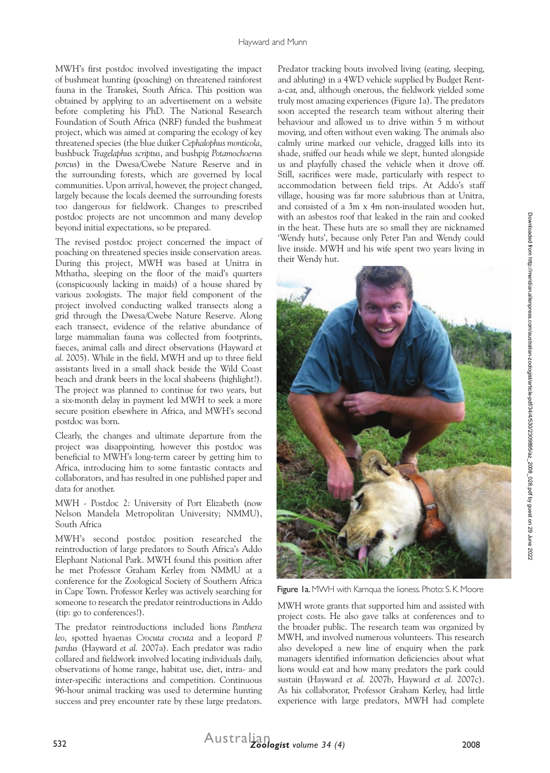MWH's first postdoc involved investigating the impact of bushmeat hunting (poaching) on threatened rainforest fauna in the Transkei, South Africa. This position was obtained by applying to an advertisement on a website before completing his PhD. The National Research Foundation of South Africa (NRF) funded the bushmeat project, which was aimed at comparing the ecology of key threatened species (the blue duiker *Cephalophus monticola*, bushbuck *Tragelaphus scriptus*, and bushpig *Potamochoerus porcus*) in the Dwesa/Cwebe Nature Reserve and in the surrounding forests, which are governed by local communities. Upon arrival, however, the project changed, largely because the locals deemed the surrounding forests too dangerous for fieldwork. Changes to prescribed postdoc projects are not uncommon and many develop beyond initial expectations, so be prepared.

The revised postdoc project concerned the impact of poaching on threatened species inside conservation areas. During this project, MWH was based at Unitra in Mthatha, sleeping on the floor of the maid's quarters (conspicuously lacking in maids) of a house shared by various zoologists. The major field component of the project involved conducting walked transects along a grid through the Dwesa/Cwebe Nature Reserve. Along each transect, evidence of the relative abundance of large mammalian fauna was collected from footprints, faeces, animal calls and direct observations (Hayward *et al.* 2005). While in the field, MWH and up to three field assistants lived in a small shack beside the Wild Coast beach and drank beers in the local shabeens (highlight!). The project was planned to continue for two years, but a six-month delay in payment led MWH to seek a more secure position elsewhere in Africa, and MWH's second postdoc was born.

Clearly, the changes and ultimate departure from the project was disappointing, however this postdoc was beneficial to MWH's long-term career by getting him to Africa, introducing him to some fantastic contacts and collaborators, and has resulted in one published paper and data for another.

MWH - Postdoc 2: University of Port Elizabeth (now Nelson Mandela Metropolitan University; NMMU), South Africa

MWH's second postdoc position researched the reintroduction of large predators to South Africa's Addo Elephant National Park. MWH found this position after he met Professor Graham Kerley from NMMU at a conference for the Zoological Society of Southern Africa in Cape Town. Professor Kerley was actively searching for someone to research the predator reintroductions in Addo (tip: go to conferences!).

The predator reintroductions included lions *Panthera leo*, spotted hyaenas *Crocuta crocuta* and a leopard *P. pardus* (Hayward *et al.* 2007a). Each predator was radio collared and fieldwork involved locating individuals daily, observations of home range, habitat use, diet, intra- and inter-specific interactions and competition. Continuous 96-hour animal tracking was used to determine hunting success and prey encounter rate by these large predators.

Predator tracking bouts involved living (eating, sleeping, and abluting) in a 4WD vehicle supplied by Budget Renta-car, and, although onerous, the fieldwork yielded some truly most amazing experiences (Figure 1a). The predators soon accepted the research team without altering their behaviour and allowed us to drive within 5 m without moving, and often without even waking. The animals also calmly urine marked our vehicle, dragged kills into its shade, sniffed our heads while we slept, hunted alongside us and playfully chased the vehicle when it drove off. Still, sacrifices were made, particularly with respect to accommodation between field trips. At Addo's staff village, housing was far more salubrious than at Unitra, and consisted of a 3m x 4m non-insulated wooden hut, with an asbestos roof that leaked in the rain and cooked in the heat. These huts are so small they are nicknamed 'Wendy huts', because only Peter Pan and Wendy could live inside. MWH and his wife spent two years living in their Wendy hut.



Figure 1a. MWH with Kamqua the lioness. Photo: S. K. Moore

MWH wrote grants that supported him and assisted with project costs. He also gave talks at conferences and to the broader public. The research team was organized by MWH, and involved numerous volunteers. This research also developed a new line of enquiry when the park managers identified information deficiencies about what lions would eat and how many predators the park could sustain (Hayward *et al.* 2007b, Hayward *et al.* 2007c). As his collaborator, Professor Graham Kerley, had little experience with large predators, MWH had complete

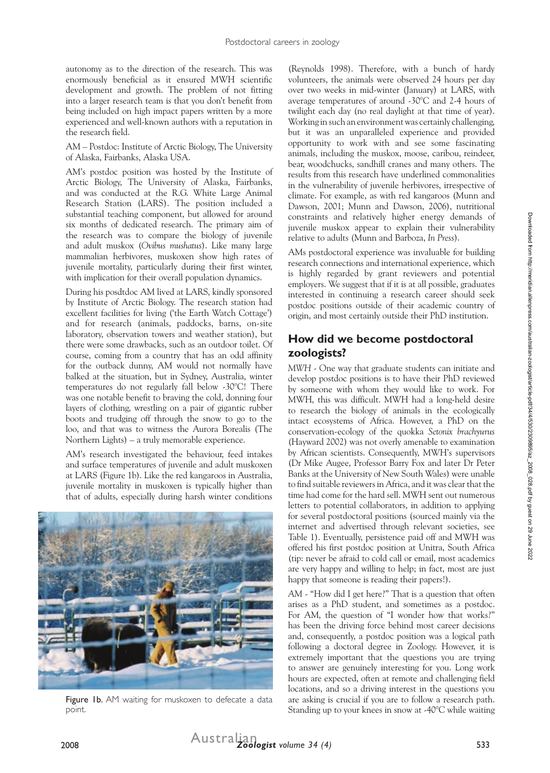autonomy as to the direction of the research. This was enormously beneficial as it ensured MWH scientific development and growth. The problem of not fitting into a larger research team is that you don't benefit from being included on high impact papers written by a more experienced and well-known authors with a reputation in the research field.

AM – Postdoc: Institute of Arctic Biology, The University of Alaska, Fairbanks, Alaska USA.

AM's postdoc position was hosted by the Institute of Arctic Biology, The University of Alaska, Fairbanks, and was conducted at the R.G. White Large Animal Research Station (LARS). The position included a substantial teaching component, but allowed for around six months of dedicated research. The primary aim of the research was to compare the biology of juvenile and adult muskox (*Ovibus mushatus*). Like many large mammalian herbivores, muskoxen show high rates of juvenile mortality, particularly during their first winter, with implication for their overall population dynamics.

During his posdtdoc AM lived at LARS, kindly sponsored by Institute of Arctic Biology. The research station had excellent facilities for living ('the Earth Watch Cottage') and for research (animals, paddocks, barns, on-site laboratory, observation towers and weather station), but there were some drawbacks, such as an outdoor toilet. Of course, coming from a country that has an odd affinity for the outback dunny, AM would not normally have balked at the situation, but in Sydney, Australia, winter temperatures do not regularly fall below -30°C! There was one notable benefit to braving the cold, donning four layers of clothing, wrestling on a pair of gigantic rubber boots and trudging off through the snow to go to the loo, and that was to witness the Aurora Borealis (The Northern Lights) – a truly memorable experience.

AM's research investigated the behaviour, feed intakes and surface temperatures of juvenile and adult muskoxen at LARS (Figure 1b). Like the red kangaroos in Australia, juvenile mortality in muskoxen is typically higher than that of adults, especially during harsh winter conditions



Figure 1b. AM waiting for muskoxen to defecate a data point.

(Reynolds 1998). Therefore, with a bunch of hardy volunteers, the animals were observed 24 hours per day over two weeks in mid-winter (January) at LARS, with average temperatures of around -30°C and 2-4 hours of twilight each day (no real daylight at that time of year). Working in such an environment was certainly challenging, but it was an unparalleled experience and provided opportunity to work with and see some fascinating animals, including the muskox, moose, caribou, reindeer, bear, woodchucks, sandhill cranes and many others. The results from this research have underlined commonalities in the vulnerability of juvenile herbivores, irrespective of climate. For example, as with red kangaroos (Munn and Dawson, 2001; Munn and Dawson, 2006), nutritional constraints and relatively higher energy demands of juvenile muskox appear to explain their vulnerability relative to adults (Munn and Barboza, *In Press*).

AMs postdoctoral experience was invaluable for building research connections and international experience, which is highly regarded by grant reviewers and potential employers. We suggest that if it is at all possible, graduates interested in continuing a research career should seek postdoc positions outside of their academic country of origin, and most certainly outside their PhD institution.

### **How did we become postdoctoral zoologists?**

*MWH* - One way that graduate students can initiate and develop postdoc positions is to have their PhD reviewed by someone with whom they would like to work. For MWH, this was difficult. MWH had a long-held desire to research the biology of animals in the ecologically intact ecosystems of Africa. However, a PhD on the conservation-ecology of the quokka *Setonix brachyurus*  (Hayward 2002) was not overly amenable to examination by African scientists. Consequently, MWH's supervisors (Dr Mike Augee, Professor Barry Fox and later Dr Peter Banks at the University of New South Wales) were unable to find suitable reviewers in Africa, and it was clear that the time had come for the hard sell. MWH sent out numerous letters to potential collaborators, in addition to applying for several postdoctoral positions (sourced mainly via the internet and advertised through relevant societies, see Table 1). Eventually, persistence paid off and MWH was offered his first postdoc position at Unitra, South Africa (tip: never be afraid to cold call or email, most academics are very happy and willing to help; in fact, most are just happy that someone is reading their papers!).

*AM* - "How did I get here?" That is a question that often arises as a PhD student, and sometimes as a postdoc. For AM, the question of "I wonder how that works?" has been the driving force behind most career decisions and, consequently, a postdoc position was a logical path following a doctoral degree in Zoology. However, it is extremely important that the questions you are trying to answer are genuinely interesting for you. Long work hours are expected, often at remote and challenging field locations, and so a driving interest in the questions you are asking is crucial if you are to follow a research path. Standing up to your knees in snow at -40°C while waiting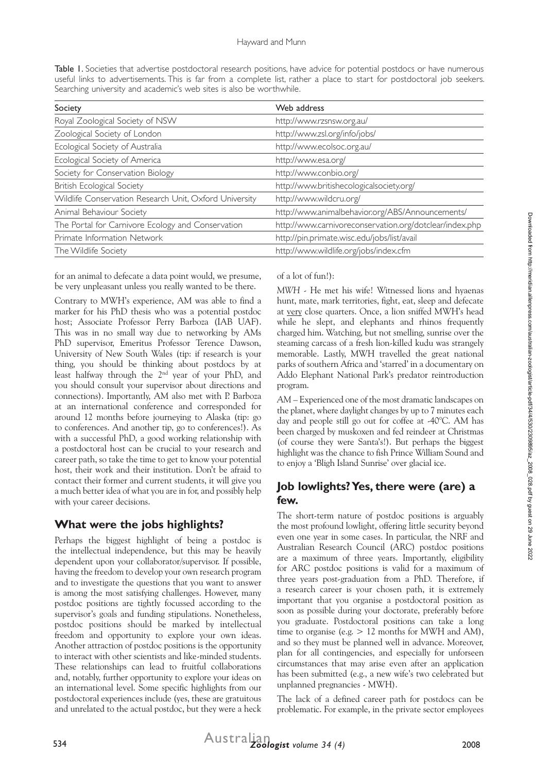Table 1. Societies that advertise postdoctoral research positions, have advice for potential postdocs or have numerous useful links to advertisements. This is far from a complete list, rather a place to start for postdoctoral job seekers. Searching university and academic's web sites is also be worthwhile.

| Society                                                | Web address                                             |
|--------------------------------------------------------|---------------------------------------------------------|
| Royal Zoological Society of NSW                        | http://www.rzsnsw.org.au/                               |
| Zoological Society of London                           | http://www.zsl.org/info/jobs/                           |
| Ecological Society of Australia                        | http://www.ecolsoc.org.au/                              |
| Ecological Society of America                          | http://www.esa.org/                                     |
| Society for Conservation Biology                       | http://www.conbio.org/                                  |
| British Ecological Society                             | http://www.britishecologicalsociety.org/                |
| Wildlife Conservation Research Unit, Oxford University | http://www.wildcru.org/                                 |
| Animal Behaviour Society                               | http://www.animalbehavior.org/ABS/Announcements/        |
| The Portal for Carnivore Ecology and Conservation      | http://www.carnivoreconservation.org/dotclear/index.php |
| Primate Information Network                            | http://pin.primate.wisc.edu/jobs/list/avail             |
| The Wildlife Society                                   | http://www.wildlife.org/jobs/index.cfm                  |
|                                                        |                                                         |

for an animal to defecate a data point would, we presume, be very unpleasant unless you really wanted to be there.

Contrary to MWH's experience, AM was able to find a marker for his PhD thesis who was a potential postdoc host; Associate Professor Perry Barboza (IAB UAF). This was in no small way due to networking by AMs PhD supervisor, Emeritus Professor Terence Dawson, University of New South Wales (tip: if research is your thing, you should be thinking about postdocs by at least halfway through the 2nd year of your PhD, and you should consult your supervisor about directions and connections). Importantly, AM also met with P. Barboza at an international conference and corresponded for around 12 months before journeying to Alaska (tip: go to conferences. And another tip, go to conferences!). As with a successful PhD, a good working relationship with a postdoctoral host can be crucial to your research and career path, so take the time to get to know your potential host, their work and their institution. Don't be afraid to contact their former and current students, it will give you a much better idea of what you are in for, and possibly help with your career decisions.

#### **What were the jobs highlights?**

Perhaps the biggest highlight of being a postdoc is the intellectual independence, but this may be heavily dependent upon your collaborator/supervisor. If possible, having the freedom to develop your own research program and to investigate the questions that you want to answer is among the most satisfying challenges. However, many postdoc positions are tightly focussed according to the supervisor's goals and funding stipulations. Nonetheless, postdoc positions should be marked by intellectual freedom and opportunity to explore your own ideas. Another attraction of postdoc positions is the opportunity to interact with other scientists and like-minded students. These relationships can lead to fruitful collaborations and, notably, further opportunity to explore your ideas on an international level. Some specific highlights from our postdoctoral experiences include (yes, these are gratuitous and unrelated to the actual postdoc, but they were a heck of a lot of fun!):

*MWH* - He met his wife! Witnessed lions and hyaenas hunt, mate, mark territories, fight, eat, sleep and defecate at very close quarters. Once, a lion sniffed MWH's head while he slept, and elephants and rhinos frequently charged him. Watching, but not smelling, sunrise over the steaming carcass of a fresh lion-killed kudu was strangely memorable. Lastly, MWH travelled the great national parks of southern Africa and 'starred' in a documentary on Addo Elephant National Park's predator reintroduction program.

*AM* – Experienced one of the most dramatic landscapes on the planet, where daylight changes by up to 7 minutes each day and people still go out for coffee at -40°C. AM has been charged by muskoxen and fed reindeer at Christmas (of course they were Santa's!). But perhaps the biggest highlight was the chance to fish Prince William Sound and to enjoy a 'Bligh Island Sunrise' over glacial ice.

### **Job lowlights? Yes, there were (are) a few.**

The short-term nature of postdoc positions is arguably the most profound lowlight, offering little security beyond even one year in some cases. In particular, the NRF and Australian Research Council (ARC) postdoc positions are a maximum of three years. Importantly, eligibility for ARC postdoc positions is valid for a maximum of three years post-graduation from a PhD. Therefore, if a research career is your chosen path, it is extremely important that you organise a postdoctoral position as soon as possible during your doctorate, preferably before you graduate. Postdoctoral positions can take a long time to organise (e.g.  $> 12$  months for MWH and AM), and so they must be planned well in advance. Moreover, plan for all contingencies, and especially for unforseen circumstances that may arise even after an application has been submitted (e.g., a new wife's two celebrated but unplanned pregnancies - MWH).

The lack of a defined career path for postdocs can be problematic. For example, in the private sector employees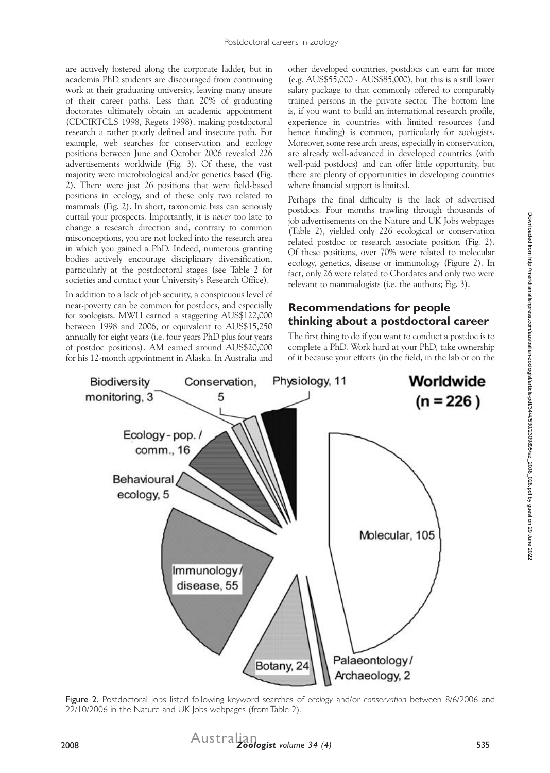are actively fostered along the corporate ladder, but in academia PhD students are discouraged from continuing work at their graduating university, leaving many unsure of their career paths. Less than 20% of graduating doctorates ultimately obtain an academic appointment (CDCIRTCLS 1998, Regets 1998), making postdoctoral research a rather poorly defined and insecure path. For example, web searches for conservation and ecology positions between June and October 2006 revealed 226 advertisements worldwide (Fig. 3). Of these, the vast majority were microbiological and/or genetics based (Fig. 2). There were just 26 positions that were field-based positions in ecology, and of these only two related to mammals (Fig. 2). In short, taxonomic bias can seriously curtail your prospects. Importantly, it is *never* too late to change a research direction and, contrary to common misconceptions, you are not locked into the research area in which you gained a PhD. Indeed, numerous granting bodies actively encourage disciplinary diversification, particularly at the postdoctoral stages (see Table 2 for societies and contact your University's Research Office).

In addition to a lack of job security, a conspicuous level of near-poverty can be common for postdocs, and especially for zoologists. MWH earned a staggering AUS\$122,000 between 1998 and 2006, or equivalent to AUS\$15,250 annually for eight years (i.e. four years PhD plus four years of postdoc positions). AM earned around AUS\$20,000 for his 12-month appointment in Alaska. In Australia and

other developed countries, postdocs can earn far more (e.g. AUS\$55,000 - AUS\$85,000), but this is a still lower salary package to that commonly offered to comparably trained persons in the private sector. The bottom line is, if you want to build an international research profile, experience in countries with limited resources (and hence funding) is common, particularly for zoologists. Moreover, some research areas, especially in conservation, are already well-advanced in developed countries (with well-paid postdocs) and can offer little opportunity, but there are plenty of opportunities in developing countries where financial support is limited.

Perhaps the final difficulty is the lack of advertised postdocs. Four months trawling through thousands of job advertisements on the Nature and UK Jobs webpages (Table 2), yielded only 226 ecological or conservation related postdoc or research associate position (Fig. 2). Of these positions, over 70% were related to molecular ecology, genetics, disease or immunology (Figure 2). In fact, only 26 were related to Chordates and only two were relevant to mammalogists (i.e. the authors; Fig. 3).

## **Recommendations for people thinking about a postdoctoral career**

The first thing to do if you want to conduct a postdoc is to complete a PhD. Work hard at your PhD, take ownership of it because your efforts (in the field, in the lab or on the



Figure 2. Postdoctoral jobs listed following keyword searches of *ecology* and/or *conservation* between 8/6/2006 and 22/10/2006 in the Nature and UK Jobs webpages (from Table 2).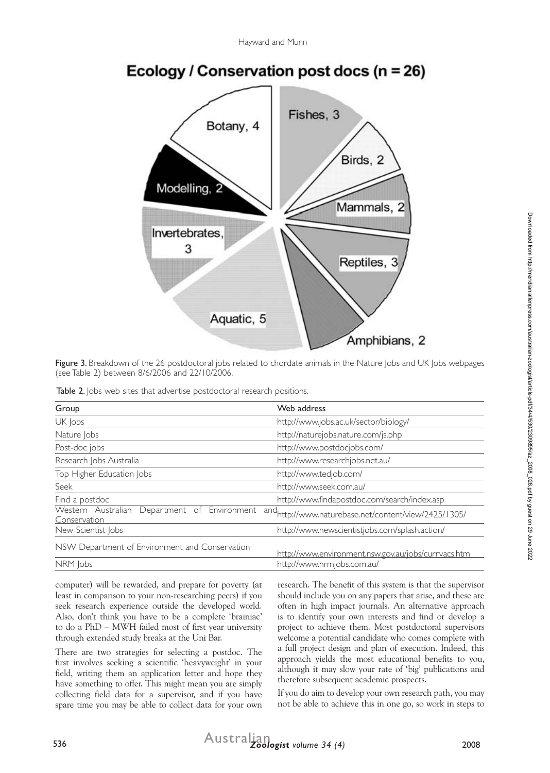

Ecology / Conservation post docs ( $n = 26$ )

Figure 3. Breakdown of the 26 postdoctoral jobs related to chordate animals in the Nature Jobs and UK Jobs webpages (see Table 2) between 8/6/2006 and 22/10/2006.

|  |  |  |  |  |  |  | Table 2. Jobs web sites that advertise postdoctoral research positions. |  |  |
|--|--|--|--|--|--|--|-------------------------------------------------------------------------|--|--|
|--|--|--|--|--|--|--|-------------------------------------------------------------------------|--|--|

| Group                                                           | Web address                                                      |  |  |  |
|-----------------------------------------------------------------|------------------------------------------------------------------|--|--|--|
| UK Jobs                                                         | http://www.jobs.ac.uk/sector/biology/                            |  |  |  |
| Nature Jobs                                                     | http://naturejobs.nature.com/js.php                              |  |  |  |
| Post-doc jobs                                                   | http://www.postdocjobs.com/                                      |  |  |  |
| Research Jobs Australia                                         | http://www.researchjobs.net.au/                                  |  |  |  |
| Top Higher Education Jobs                                       | http://www.tedjob.com/                                           |  |  |  |
| Seek                                                            | http://www.seek.com.au/                                          |  |  |  |
| Find a postdoc                                                  | http://www.findapostdoc.com/search/index.asp                     |  |  |  |
| Western Australian<br>Department of Environment<br>Conservation | and <sub>http://www.naturebase.net/content/view/2425/1305/</sub> |  |  |  |
| New Scientist Jobs                                              | http://www.newscientistjobs.com/splash.action/                   |  |  |  |
| NSW Department of Environment and Conservation                  | http://www.environment.nsw.gov.au/jobs/currvacs.htm              |  |  |  |
| NRM Jobs                                                        | http://www.nrmjobs.com.au/                                       |  |  |  |

computer) will be rewarded, and prepare for poverty (at least in comparison to your non-researching peers) if you seek research experience outside the developed world. Also, don't think you have to be a complete 'brainiac' to do a PhD – MWH failed most of first year university through extended study breaks at the Uni Bar.

There are two strategies for selecting a postdoc. The first involves seeking a scientific 'heavyweight' in your field, writing them an application letter and hope they have something to offer. This might mean you are simply collecting field data for a supervisor, and if you have spare time you may be able to collect data for your own

research. The benefit of this system is that the supervisor should include you on any papers that arise, and these are often in high impact journals. An alternative approach is to identify your own interests and find or develop a project to achieve them. Most postdoctoral supervisors welcome a potential candidate who comes complete with a full project design and plan of execution. Indeed, this approach yields the most educational benefits to you, although it may slow your rate of 'big' publications and therefore subsequent academic prospects.

If you do aim to develop your own research path, you may not be able to achieve this in one go, so work in steps to